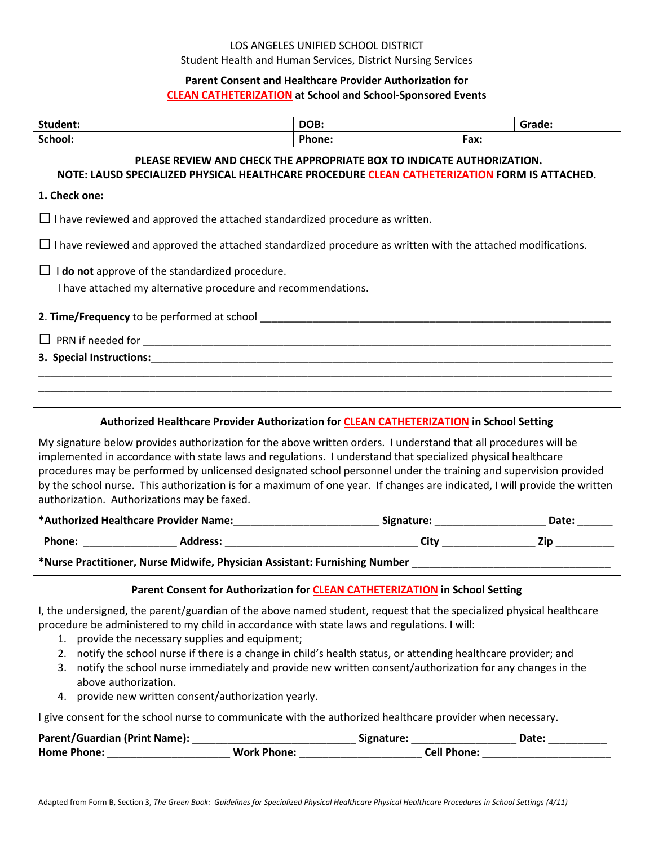## LOS ANGELES UNIFIED SCHOOL DISTRICT Student Health and Human Services, District Nursing Services

## **Parent Consent and Healthcare Provider Authorization for CLEAN CATHETERIZATION at School and School-Sponsored Events**

| Student:                                                                                                                                                                                                                                                                                                                                                                                                                                                                                                                                                                                   | DOB:   | Grade: |  |  |
|--------------------------------------------------------------------------------------------------------------------------------------------------------------------------------------------------------------------------------------------------------------------------------------------------------------------------------------------------------------------------------------------------------------------------------------------------------------------------------------------------------------------------------------------------------------------------------------------|--------|--------|--|--|
| School:                                                                                                                                                                                                                                                                                                                                                                                                                                                                                                                                                                                    | Phone: | Fax:   |  |  |
| PLEASE REVIEW AND CHECK THE APPROPRIATE BOX TO INDICATE AUTHORIZATION.<br>NOTE: LAUSD SPECIALIZED PHYSICAL HEALTHCARE PROCEDURE CLEAN CATHETERIZATION FORM IS ATTACHED.                                                                                                                                                                                                                                                                                                                                                                                                                    |        |        |  |  |
| 1. Check one:                                                                                                                                                                                                                                                                                                                                                                                                                                                                                                                                                                              |        |        |  |  |
| $\Box$ I have reviewed and approved the attached standardized procedure as written.                                                                                                                                                                                                                                                                                                                                                                                                                                                                                                        |        |        |  |  |
| $\Box$ I have reviewed and approved the attached standardized procedure as written with the attached modifications.                                                                                                                                                                                                                                                                                                                                                                                                                                                                        |        |        |  |  |
| $\Box$ <b>I do not</b> approve of the standardized procedure.                                                                                                                                                                                                                                                                                                                                                                                                                                                                                                                              |        |        |  |  |
| I have attached my alternative procedure and recommendations.                                                                                                                                                                                                                                                                                                                                                                                                                                                                                                                              |        |        |  |  |
|                                                                                                                                                                                                                                                                                                                                                                                                                                                                                                                                                                                            |        |        |  |  |
|                                                                                                                                                                                                                                                                                                                                                                                                                                                                                                                                                                                            |        |        |  |  |
| 3. Special Instructions: Entrance of the state of the state of the state of the state of the state of the state of the state of the state of the state of the state of the state of the state of the state of the state of the                                                                                                                                                                                                                                                                                                                                                             |        |        |  |  |
|                                                                                                                                                                                                                                                                                                                                                                                                                                                                                                                                                                                            |        |        |  |  |
|                                                                                                                                                                                                                                                                                                                                                                                                                                                                                                                                                                                            |        |        |  |  |
| Authorized Healthcare Provider Authorization for <b>CLEAN CATHETERIZATION</b> in School Setting                                                                                                                                                                                                                                                                                                                                                                                                                                                                                            |        |        |  |  |
| My signature below provides authorization for the above written orders. I understand that all procedures will be<br>implemented in accordance with state laws and regulations. I understand that specialized physical healthcare<br>procedures may be performed by unlicensed designated school personnel under the training and supervision provided<br>by the school nurse. This authorization is for a maximum of one year. If changes are indicated, I will provide the written<br>authorization. Authorizations may be faxed.                                                         |        |        |  |  |
| *Authorized Healthcare Provider Name:_______________________________Signature: _______________________Date: _______                                                                                                                                                                                                                                                                                                                                                                                                                                                                        |        |        |  |  |
|                                                                                                                                                                                                                                                                                                                                                                                                                                                                                                                                                                                            |        |        |  |  |
| *Nurse Practitioner, Nurse Midwife, Physician Assistant: Furnishing Number ___________________________________                                                                                                                                                                                                                                                                                                                                                                                                                                                                             |        |        |  |  |
| Parent Consent for Authorization for CLEAN CATHETERIZATION in School Setting                                                                                                                                                                                                                                                                                                                                                                                                                                                                                                               |        |        |  |  |
| I, the undersigned, the parent/guardian of the above named student, request that the specialized physical healthcare<br>procedure be administered to my child in accordance with state laws and regulations. I will:<br>1. provide the necessary supplies and equipment;<br>2. notify the school nurse if there is a change in child's health status, or attending healthcare provider; and<br>3. notify the school nurse immediately and provide new written consent/authorization for any changes in the<br>above authorization.<br>4. provide new written consent/authorization yearly. |        |        |  |  |
| I give consent for the school nurse to communicate with the authorized healthcare provider when necessary.                                                                                                                                                                                                                                                                                                                                                                                                                                                                                 |        |        |  |  |
|                                                                                                                                                                                                                                                                                                                                                                                                                                                                                                                                                                                            |        |        |  |  |
|                                                                                                                                                                                                                                                                                                                                                                                                                                                                                                                                                                                            |        |        |  |  |